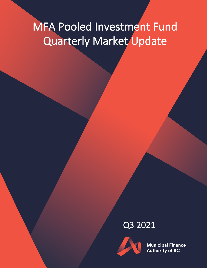# MFA Pooled Investment Fund Quarterly Market Update

## Q3 2021



**Municipal Finance Authority of BC**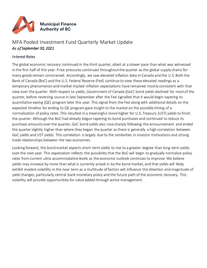

### MFA Pooled Investment Fund Quarterly Market Update *As of September 30, 2021*

#### *Interest Rates*

The global economic recovery continued in the third quarter, albeit at a slower pace than what was witnessed in the first half of this year. Price pressures continued throughout the quarter as the global supply chains for many goods remain constrained. Accordingly, we saw elevated inflation data in Canada and the U.S. Both the Bank of Canada (BoC) and the U.S. Federal Reserve (Fed) continue to view these elevated readings as a temporary phenomenon and market implied inflation expectations have remained mostly consistent with that view over the quarter. With respect to yields, Government of Canada (GoC) bond yields declined for most of the quarter, before reversing course in late September after the Fed signalled that it would begin tapering its quantitative easing (QE) program later this year. This signal from the Fed along with additional details on the expected timeline for ending its QE program gave insight to the market on the possible timing of a normalization of policy rates. This resulted in a meaningful move higher for U.S. Treasury (UST) yields to finish the quarter. Although the BoC had already begun tapering its bond purchases and continued to reduce its purchase amounts over the quarter, GoC bond yields also rose sharply following the announcement and ended the quarter slightly higher than where they began the quarter as there is generally a high correlation between GoC yields and UST yields. This correlation is largely due to the similarities in investor motivations and strong trade relationships between the two economies.

Looking forward, the bond market expects short-term yields to rise to a greater degree than long-term yields over the next year. This expectation reflects the possibility that the BoC will begin to gradually normalize policy rates from current ultra-accommodative levels as the economic outlook continues to improve. We believe yields may increase by more than what is currently priced in by the bond market, and that yields will likely exhibit modest volatility in the near term as a multitude of factors will influence the direction and magnitude of yield changes, particularly central bank monetary policy and the future path of the economic recovery. This volatility will provide opportunities for value added through active management.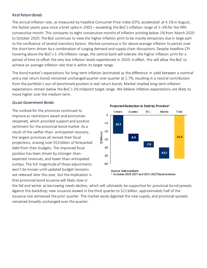#### *Real Return Bonds*

The annual inflation rate, as measured by headline Consumer Price Index (CPI), accelerated at 4.1% in August, the fastest yearly pace since a brief spike in 2003 – exceeding the BoC's inflation range of 1–3% for the fifth consecutive month. This compares to eight consecutive months of inflation printing below 1% from March 2020 to October 2020. The BoC continues to view the higher inflation print to be mostly temporary due in large part to the confluence of several transitory factors. Market consensus is for above average inflation to persist over the short term driven by a combination of surging demand and supply chain disruptions. Despite headline CPI hovering above the BoC's 1–3% inflation range, the central bank will tolerate the higher inflation print for a period of time to offset the very low inflation levels experienced in 2020. In effect, this will allow the BoC to achieve an average inflation rate that is within its target range.

The bond market's expectations for long-term inflation (estimated as the difference in yield between a nominal and a real return bond) remained unchanged quarter over quarter at 1.7%, resulting in a neutral contribution from the portfolio's out-of-benchmark position in real return bonds. Market-implied long-term inflation expectations remain below the BoC's 2% midpoint target range. We believe inflation expectations are likely to move higher over the medium term.

#### *Quasi-Government Bonds*

The outlook for the provinces continued to improve as restrictions eased and economies reopened, which provided support and positive sentiment for the provincial bond market. As a result of the swifter-than- anticipated recovery, the largest provinces all revised their fiscal projections, erasing over \$53 billion of forecasted debt from their budgets. The improved fiscal position has been driven by stronger-thanexpected revenues, and lower-than-anticipated outlays. The full magnitude of these adjustments won't be known until updated budget revisions are released later this year, but the implication is that provincial bond issuance will likely slow in



Projected Reduction in Debt by Province\*

the fall and winter as borrowing needs decline, which will ultimately be supportive for provincial bond spreads. Against this backdrop, new issuance slowed in the third quarter to \$21 billion, approximately half of the issuance size witnessed the prior quarter. The market easily digested the new supply, and provincial spreads remained broadly unchanged over the quarter.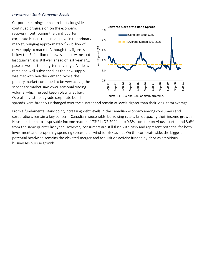#### *Investment Grade Corporate Bonds*

Corporate earnings remain robust alongside continued progression on the economic recovery front. During the third quarter, corporate issuers remained active in the primary market, bringing approximately \$27 billion of new supply to market. Although this figure is below the \$41 billion of new issuance witnessed last quarter, it is still well ahead of last year's Q3 pace as well as the long-term average. All deals remained well subscribed, as the new supply was met with healthy demand. While the primary market continued to be very active, the secondary market saw lower seasonal trading volume, which helped keep volatility at bay. Overall, investment grade corporate bond



spreads were broadly unchanged over the quarter and remain at levels tighter than their long-term average.

From a fundamental standpoint, increasing debt levels in the Canadian economy among consumers and corporations remain a key concern. Canadian households' borrowing rate is far outpacing their income growth. Household debt-to-disposable-income reached 173% in Q2 2021 – up 0.3% from the previous quarter and 8.6% from the same quarter last year. However, consumers are still flush with cash and represent potential for both investment and re-opening spending sprees, a tailwind for risk assets. On the corporate side, the biggest potential headwind remains the elevated merger and acquisition activity funded by debt as ambitious businesses pursue growth.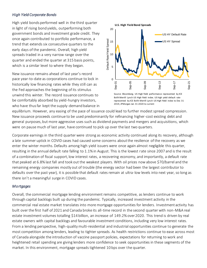#### *High Yield Corporate Bonds*

High yield bonds performed well in the third quarter in light of rising bond yields, outperforming both government bonds and investment grade credit. They once again contributed to portfolio performance, a trend that extends six consecutive quarters to the early days of the pandemic. Overall, high yield spreads traded in a very narrow range over the quarter and ended the quarter at 315 basis points, which is a similar level to where they began.

New issuance remains ahead of last year's record pace year-to-date as corporations continue to lock in historically low financing rates while they still can as the Fed approaches the beginning of its stimulus unwind this winter. The record issuance continues to be comfortably absorbed by yield-hungry investors, who have thus far kept the supply-demand balance in



Source: Bloomberg. US High Yield performance represented by ICE BofA Merrill Lynch US High Yield index. US high yield default rate represented by ICE BofA Merrill Lynch US High Yield index to Dec 31 2019, JPMorgan Jan 31 2020 to current

equilibrium. However, any easing of the pace of issuance could lead to further modest spread compression. New issuance proceeds continue to be used predominantly for refinancing higher-cost existing debt and general purposes, but more aggressive uses such as dividend payments and mergers and acquisitions, which were on pause much of last year, have continued to pick up over the last two quarters.

Corporate earnings in the third quarter were strong as economic activity continued along its recovery, although a late summer uptick in COVID cases had caused some concerns about the resilience of the recovery as we enter the winter months. Defaults among high yield issuers were once again almost negligible this quarter, resulting in the annual default rate falling to 1.1% in August. This is the lowest rate since 2007 and is the result of a combination of fiscal support, low interest rates, a recovering economy, and importantly, a default rate that peaked at 6.8% last fall and took out the weakest players. With oil prices now above \$70/barrel and the remaining energy companies mostly out of trouble (the energy sector had been the largest contributor to defaults over the past year), it is possible that default rates remain at ultra-low levels into next year, so long as there isn't a meaningful surge in COVID cases.

#### *Mortgages*

Overall, the commercial mortgage lending environment remains competitive, as lenders continue to work through capital backlogs built up during the pandemic. Typically, increased investment activity in the commercial real estate market translates into more mortgage opportunities for lenders. Investment activity has built over the first half of 2021 and Canada broke its all-time record in the second quarter with non-M&A real estate investment volumes totalling \$14 billion, an increase of 149.2% over 2020. This trend is driven by real estate owners with capital backlogs and favourable investment conditions, including very low interest rates. From a lending perspective, high-quality multi-residential and industrial opportunities continue to generate the most competition among lenders, leading to tighter spreads. As health restrictions continue to ease across most of Canada alongside the introduction of vaccine passport policies, expectations for returning to work and heightened retail spending are giving lenders more confidence to seek opportunities in these segments of the market. In this environment, mortgage spreads tightened 10 bps over the quarter.